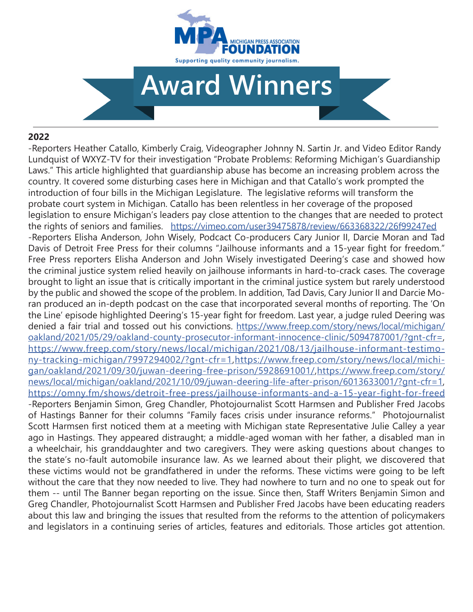

# **Award Winners**

#### **2022**

-Reporters Heather Catallo, Kimberly Craig, Videographer Johnny N. Sartin Jr. and Video Editor Randy Lundquist of WXYZ-TV for their investigation "Probate Problems: Reforming Michigan's Guardianship Laws." This article highlighted that guardianship abuse has become an increasing problem across the country. It covered some disturbing cases here in Michigan and that Catallo's work prompted the introduction of four bills in the Michigan Legislature. The legislative reforms will transform the probate court system in Michigan. Catallo has been relentless in her coverage of the proposed legislation to ensure Michigan's leaders pay close attention to the changes that are needed to protect the rights of seniors and families. https://vimeo.com/user39475878/review/663368322/26f99247ed -Reporters Elisha Anderson, John Wisely, Podcact Co-producers Cary Junior II, Darcie Moran and Tad Davis of Detroit Free Press for their columns "Jailhouse informants and a 15-year fight for freedom." Free Press reporters Elisha Anderson and John Wisely investigated Deering's case and showed how the criminal justice system relied heavily on jailhouse informants in hard-to-crack cases. The coverage brought to light an issue that is critically important in the criminal justice system but rarely understood by the public and showed the scope of the problem. In addition, Tad Davis, Cary Junior II and Darcie Moran produced an in-depth podcast on the case that incorporated several months of reporting. The 'On the Line' episode highlighted Deering's 15-year fight for freedom. Last year, a judge ruled Deering was denied a fair trial and tossed out his convictions. https://www.freep.com/story/news/local/michigan/ oakland/2021/05/29/oakland-county-prosecutor-informant-innocence-clinic/5094787001/?gnt-cfr=, https://www.freep.com/story/news/local/michigan/2021/08/13/jailhouse-informant-testimony-tracking-michigan/7997294002/?gnt-cfr=1,https://www.freep.com/story/news/local/michigan/oakland/2021/09/30/juwan-deering-free-prison/5928691001/,https://www.freep.com/story/ news/local/michigan/oakland/2021/10/09/juwan-deering-life-after-prison/6013633001/?gnt-cfr=1, https://omny.fm/shows/detroit-free-press/jailhouse-informants-and-a-15-year-fight-for-freed -Reporters Benjamin Simon, Greg Chandler, Photojournalist Scott Harmsen and Publisher Fred Jacobs of Hastings Banner for their columns "Family faces crisis under insurance reforms." Photojournalist Scott Harmsen first noticed them at a meeting with Michigan state Representative Julie Calley a year ago in Hastings. They appeared distraught; a middle-aged woman with her father, a disabled man in a wheelchair, his granddaughter and two caregivers. They were asking questions about changes to the state's no-fault automobile insurance law. As we learned about their plight, we discovered that these victims would not be grandfathered in under the reforms. These victims were going to be left without the care that they now needed to live. They had nowhere to turn and no one to speak out for them -- until The Banner began reporting on the issue. Since then, Staff Writers Benjamin Simon and Greg Chandler, Photojournalist Scott Harmsen and Publisher Fred Jacobs have been educating readers about this law and bringing the issues that resulted from the reforms to the attention of policymakers and legislators in a continuing series of articles, features and editorials. Those articles got attention.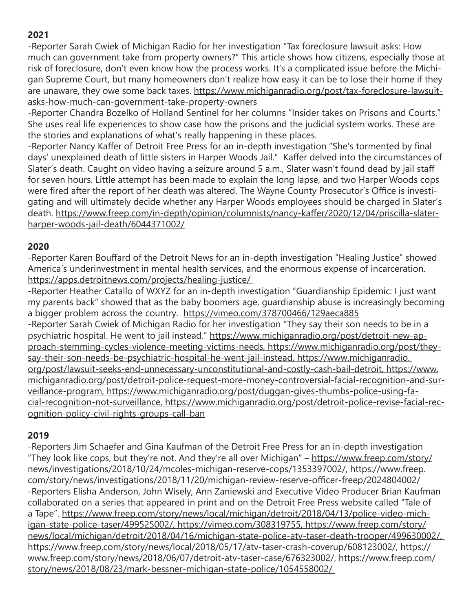-Reporter Sarah Cwiek of Michigan Radio for her investigation "Tax foreclosure lawsuit asks: How much can government take from property owners?" This article shows how citizens, especially those at risk of foreclosure, don't even know how the process works. It's a complicated issue before the Michigan Supreme Court, but many homeowners don't realize how easy it can be to lose their home if they are unaware, they owe some back taxes. https://www.michiganradio.org/post/tax-foreclosure-lawsuitasks-how-much-can-government-take-property-owners

-Reporter Chandra Bozelko of Holland Sentinel for her columns "Insider takes on Prisons and Courts." She uses real life experiences to show case how the prisons and the judicial system works. These are the stories and explanations of what's really happening in these places.

-Reporter Nancy Kaffer of Detroit Free Press for an in-depth investigation "She's tormented by final days' unexplained death of little sisters in Harper Woods Jail." Kaffer delved into the circumstances of Slater's death. Caught on video having a seizure around 5 a.m., Slater wasn't found dead by jail staff for seven hours. Little attempt has been made to explain the long lapse, and two Harper Woods cops were fired after the report of her death was altered. The Wayne County Prosecutor's Office is investigating and will ultimately decide whether any Harper Woods employees should be charged in Slater's death. https://www.freep.com/in-depth/opinion/columnists/nancy-kaffer/2020/12/04/priscilla-slaterharper-woods-jail-death/6044371002/

#### **2020**

-Reporter Karen Bouffard of the Detroit News for an in-depth investigation "Healing Justice" showed America's underinvestment in mental health services, and the enormous expense of incarceration. https://apps.detroitnews.com/projects/healing-justice/

-Reporter Heather Catallo of WXYZ for an in-depth investigation "Guardianship Epidemic: I just want my parents back" showed that as the baby boomers age, guardianship abuse is increasingly becoming a bigger problem across the country. https://vimeo.com/378700466/129aeca885 -Reporter Sarah Cwiek of Michigan Radio for her investigation "They say their son needs to be in a psychiatric hospital. He went to jail instead." https://www.michiganradio.org/post/detroit-new-approach-stemming-cycles-violence-meeting-victims-needs, https://www.michiganradio.org/post/theysay-their-son-needs-be-psychiatric-hospital-he-went-jail-instead, https://www.michiganradio. org/post/lawsuit-seeks-end-unnecessary-unconstitutional-and-costly-cash-bail-detroit, https://www. michiganradio.org/post/detroit-police-request-more-money-controversial-facial-recognition-and-surveillance-program, https://www.michiganradio.org/post/duggan-gives-thumbs-police-using-facial-recognition-not-surveillance, https://www.michiganradio.org/post/detroit-police-revise-facial-recognition-policy-civil-rights-groups-call-ban

## **2019**

-Reporters Jim Schaefer and Gina Kaufman of the Detroit Free Press for an in-depth investigation "They look like cops, but they're not. And they're all over Michigan" – https://www.freep.com/story/ news/investigations/2018/10/24/mcoles-michigan-reserve-cops/1353397002/, https://www.freep. com/story/news/investigations/2018/11/20/michigan-review-reserve-officer-freep/2024804002/ -Reporters Elisha Anderson, John Wisely, Ann Zaniewski and Executive Video Producer Brian Kaufman collaborated on a series that appeared in print and on the Detroit Free Press website called "Tale of a Tape". https://www.freep.com/story/news/local/michigan/detroit/2018/04/13/police-video-michigan-state-police-taser/499525002/, https://vimeo.com/308319755, https://www.freep.com/story/ news/local/michigan/detroit/2018/04/16/michigan-state-police-atv-taser-death-trooper/499630002/, https://www.freep.com/story/news/local/2018/05/17/atv-taser-crash-coverup/608123002/, https:// www.freep.com/story/news/2018/06/07/detroit-atv-taser-case/676323002/, https://www.freep.com/ story/news/2018/08/23/mark-bessner-michigan-state-police/1054558002/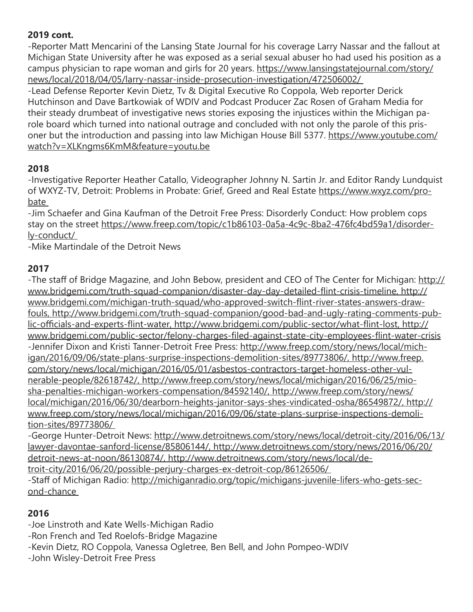## **2019 cont.**

-Reporter Matt Mencarini of the Lansing State Journal for his coverage Larry Nassar and the fallout at Michigan State University after he was exposed as a serial sexual abuser ho had used his position as a campus physician to rape woman and girls for 20 years. https://www.lansingstatejournal.com/story/ news/local/2018/04/05/larry-nassar-inside-prosecution-investigation/472506002/

-Lead Defense Reporter Kevin Dietz, Tv & Digital Executive Ro Coppola, Web reporter Derick Hutchinson and Dave Bartkowiak of WDIV and Podcast Producer Zac Rosen of Graham Media for their steady drumbeat of investigative news stories exposing the injustices within the Michigan parole board which turned into national outrage and concluded with not only the parole of this prisoner but the introduction and passing into law Michigan House Bill 5377. https://www.youtube.com/ watch?v=XLKngms6KmM&feature=youtu.be

## **2018**

-Investigative Reporter Heather Catallo, Videographer Johnny N. Sartin Jr. and Editor Randy Lundquist of WXYZ-TV, Detroit: Problems in Probate: Grief, Greed and Real Estate https://www.wxyz.com/probate

-Jim Schaefer and Gina Kaufman of the Detroit Free Press: Disorderly Conduct: How problem cops stay on the street https://www.freep.com/topic/c1b86103-0a5a-4c9c-8ba2-476fc4bd59a1/disorderly-conduct/

-Mike Martindale of the Detroit News

# **2017**

-The staff of Bridge Magazine, and John Bebow, president and CEO of The Center for Michigan: http:// www.bridgemi.com/truth-squad-companion/disaster-day-day-detailed-flint-crisis-timeline, http:// www.bridgemi.com/michigan-truth-squad/who-approved-switch-flint-river-states-answers-drawfouls, http://www.bridgemi.com/truth-squad-companion/good-bad-and-ugly-rating-comments-public-officials-and-experts-flint-water, http://www.bridgemi.com/public-sector/what-flint-lost, http:// www.bridgemi.com/public-sector/felony-charges-filed-against-state-city-employees-flint-water-crisis -Jennifer Dixon and Kristi Tanner-Detroit Free Press: http://www.freep.com/story/news/local/michigan/2016/09/06/state-plans-surprise-inspections-demolition-sites/89773806/, http://www.freep. com/story/news/local/michigan/2016/05/01/asbestos-contractors-target-homeless-other-vulnerable-people/82618742/, http://www.freep.com/story/news/local/michigan/2016/06/25/miosha-penalties-michigan-workers-compensation/84592140/, http://www.freep.com/story/news/ local/michigan/2016/06/30/dearborn-heights-janitor-says-shes-vindicated-osha/86549872/, http:// www.freep.com/story/news/local/michigan/2016/09/06/state-plans-surprise-inspections-demolition-sites/89773806/

-George Hunter-Detroit News: http://www.detroitnews.com/story/news/local/detroit-city/2016/06/13/ lawyer-davontae-sanford-license/85806144/, http://www.detroitnews.com/story/news/2016/06/20/ detroit-news-at-noon/86130874/, http://www.detroitnews.com/story/news/local/detroit-city/2016/06/20/possible-perjury-charges-ex-detroit-cop/86126506/ -Staff of Michigan Radio: http://michiganradio.org/topic/michigans-juvenile-lifers-who-gets-sec-

ond-chance

## **2016**

-Joe Linstroth and Kate Wells-Michigan Radio

- -Ron French and Ted Roelofs-Bridge Magazine
- -Kevin Dietz, RO Coppola, Vanessa Ogletree, Ben Bell, and John Pompeo-WDIV
- -John Wisley-Detroit Free Press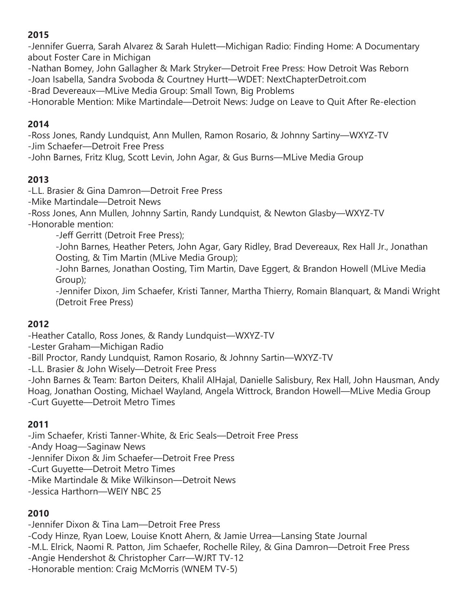-Jennifer Guerra, Sarah Alvarez & Sarah Hulett—Michigan Radio: Finding Home: A Documentary about Foster Care in Michigan

-Nathan Bomey, John Gallagher & Mark Stryker—Detroit Free Press: How Detroit Was Reborn

-Joan Isabella, Sandra Svoboda & Courtney Hurtt—WDET: NextChapterDetroit.com

-Brad Devereaux—MLive Media Group: Small Town, Big Problems

-Honorable Mention: Mike Martindale—Detroit News: Judge on Leave to Quit After Re-election

## **2014**

-Ross Jones, Randy Lundquist, Ann Mullen, Ramon Rosario, & Johnny Sartiny—WXYZ-TV -Jim Schaefer—Detroit Free Press

-John Barnes, Fritz Klug, Scott Levin, John Agar, & Gus Burns—MLive Media Group

## **2013**

-L.L. Brasier & Gina Damron—Detroit Free Press

-Mike Martindale—Detroit News

-Ross Jones, Ann Mullen, Johnny Sartin, Randy Lundquist, & Newton Glasby—WXYZ-TV -Honorable mention:

-Jeff Gerritt (Detroit Free Press);

-John Barnes, Heather Peters, John Agar, Gary Ridley, Brad Devereaux, Rex Hall Jr., Jonathan Oosting, & Tim Martin (MLive Media Group);

-John Barnes, Jonathan Oosting, Tim Martin, Dave Eggert, & Brandon Howell (MLive Media Group);

-Jennifer Dixon, Jim Schaefer, Kristi Tanner, Martha Thierry, Romain Blanquart, & Mandi Wright (Detroit Free Press)

## **2012**

-Heather Catallo, Ross Jones, & Randy Lundquist—WXYZ-TV

-Lester Graham—Michigan Radio

-Bill Proctor, Randy Lundquist, Ramon Rosario, & Johnny Sartin—WXYZ-TV

-L.L. Brasier & John Wisely—Detroit Free Press

-John Barnes & Team: Barton Deiters, Khalil AlHajal, Danielle Salisbury, Rex Hall, John Hausman, Andy Hoag, Jonathan Oosting, Michael Wayland, Angela Wittrock, Brandon Howell—MLive Media Group -Curt Guyette—Detroit Metro Times

## **2011**

-Jim Schaefer, Kristi Tanner-White, & Eric Seals—Detroit Free Press

-Andy Hoag—Saginaw News

-Jennifer Dixon & Jim Schaefer—Detroit Free Press

-Curt Guyette—Detroit Metro Times

-Mike Martindale & Mike Wilkinson—Detroit News

-Jessica Harthorn—WEIY NBC 25

## **2010**

-Jennifer Dixon & Tina Lam—Detroit Free Press

-Cody Hinze, Ryan Loew, Louise Knott Ahern, & Jamie Urrea—Lansing State Journal

-M.L. Elrick, Naomi R. Patton, Jim Schaefer, Rochelle Riley, & Gina Damron—Detroit Free Press

-Angie Hendershot & Christopher Carr—WJRT TV-12

-Honorable mention: Craig McMorris (WNEM TV-5)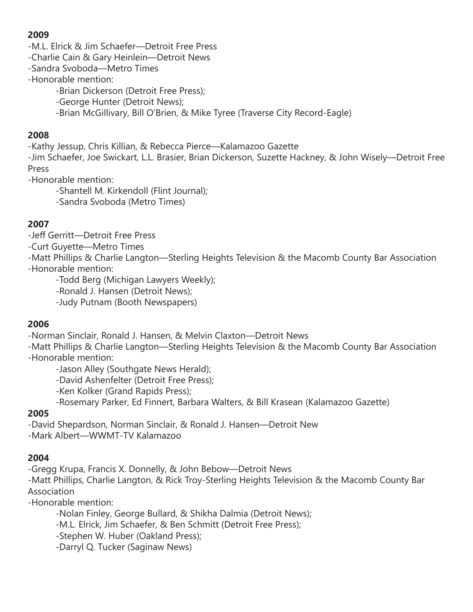-M.L. Elrick & Jim Schaefer—Detroit Free Press

-Charlie Cain & Gary Heinlein—Detroit News

-Sandra Svoboda—Metro Times

-Honorable mention:

-Brian Dickerson (Detroit Free Press);

-George Hunter (Detroit News);

-Brian McGillivary, Bill O'Brien, & Mike Tyree (Traverse City Record-Eagle)

#### **2008**

-Kathy Jessup, Chris Killian, & Rebecca Pierce—Kalamazoo Gazette -Jim Schaefer, Joe Swickart, L.L. Brasier, Brian Dickerson, Suzette Hackney, & John Wisely—Detroit Free

Press

-Honorable mention:

-Shantell M. Kirkendoll (Flint Journal);

-Sandra Svoboda (Metro Times)

## **2007**

-Jeff Gerritt—Detroit Free Press

-Curt Guyette—Metro Times

-Matt Phillips & Charlie Langton—Sterling Heights Television & the Macomb County Bar Association -Honorable mention:

-Todd Berg (Michigan Lawyers Weekly);

-Ronald J. Hansen (Detroit News);

-Judy Putnam (Booth Newspapers)

## **2006**

-Norman Sinclair, Ronald J. Hansen, & Melvin Claxton—Detroit News

-Matt Phillips & Charlie Langton—Sterling Heights Television & the Macomb County Bar Association -Honorable mention:

-Jason Alley (Southgate News Herald);

-David Ashenfelter (Detroit Free Press);

-Ken Kolker (Grand Rapids Press);

-Rosemary Parker, Ed Finnert, Barbara Walters, & Bill Krasean (Kalamazoo Gazette)

## **2005**

-David Shepardson, Norman Sinclair, & Ronald J. Hansen—Detroit New -Mark Albert—WWMT-TV Kalamazoo

## **2004**

-Gregg Krupa, Francis X. Donnelly, & John Bebow—Detroit News

-Matt Phillips, Charlie Langton, & Rick Troy-Sterling Heights Television & the Macomb County Bar Association

-Honorable mention:

-Nolan Finley, George Bullard, & Shikha Dalmia (Detroit News);

-M.L. Elrick, Jim Schaefer, & Ben Schmitt (Detroit Free Press);

-Stephen W. Huber (Oakland Press);

-Darryl Q. Tucker (Saginaw News)